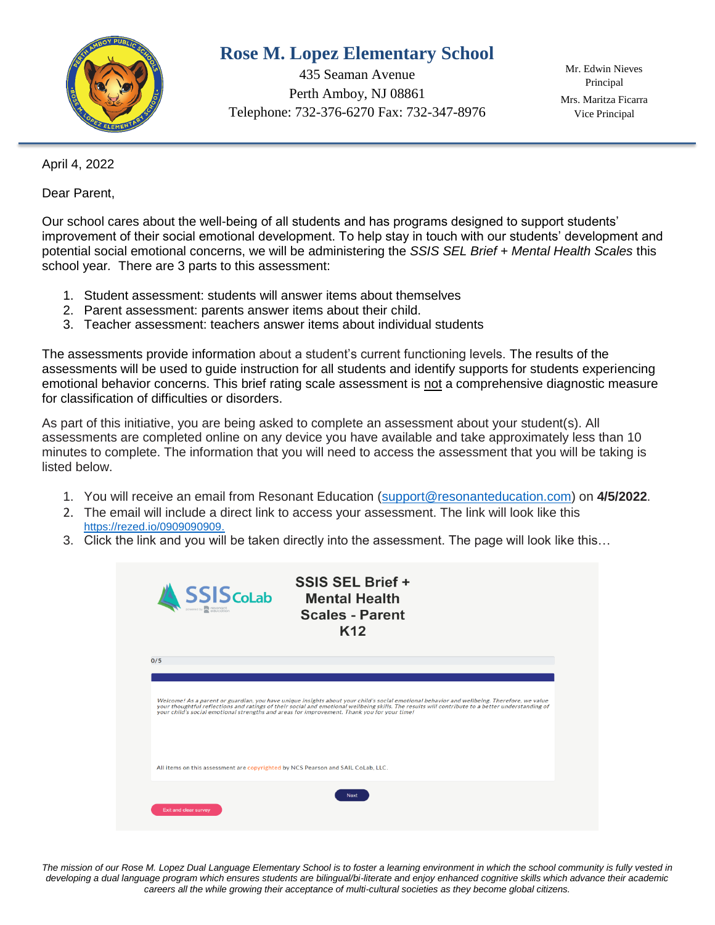

## **Rose M. Lopez Elementary School**

435 Seaman Avenue Perth Amboy, NJ 08861 Telephone: 732-376-6270 Fax: 732-347-8976

Mr. Edwin Nieves Principal Mrs. Maritza Ficarra Vice Principal

April 4, 2022

Dear Parent,

Our school cares about the well-being of all students and has programs designed to support students' improvement of their social emotional development. To help stay in touch with our students' development and potential social emotional concerns, we will be administering the *SSIS SEL Brief + Mental Health Scales* this school year*.* There are 3 parts to this assessment:

- 1. Student assessment: students will answer items about themselves
- 2. Parent assessment: parents answer items about their child.
- 3. Teacher assessment: teachers answer items about individual students

The assessments provide information about a student's current functioning levels. The results of the assessments will be used to guide instruction for all students and identify supports for students experiencing emotional behavior concerns. This brief rating scale assessment is not a comprehensive diagnostic measure for classification of difficulties or disorders.

As part of this initiative, you are being asked to complete an assessment about your student(s). All assessments are completed online on any device you have available and take approximately less than 10 minutes to complete. The information that you will need to access the assessment that you will be taking is listed below.

- 1. You will receive an email from Resonant Education [\(support@resonanteducation.com\)](mailto:support@resonanteducation.com) on **4/5/2022**.
- 2. The email will include a direct link to access your assessment. The link will look like this <https://rezed.io/0909090909.>
- 3. Click the link and you will be taken directly into the assessment. The page will look like this…



The mission of our Rose M. Lopez Dual Language Elementary School is to foster a learning environment in which the school community is fully vested in *developing a dual language program which ensures students are bilingual/bi-literate and enjoy enhanced cognitive skills which advance their academic careers all the while growing their acceptance of multi-cultural societies as they become global citizens.*